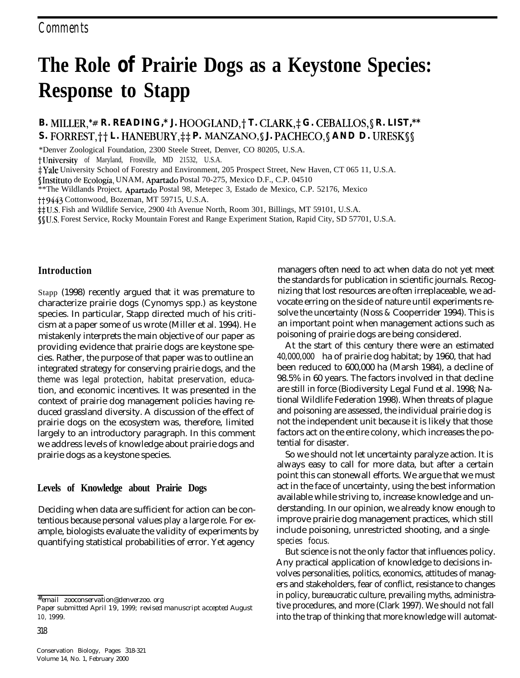# **The Role of Prairie Dogs as a Keystone Species: Response to Stapp**

**B.** MILLER,\*# **R. READING,\* J. HOOGLAND,† T. CLARK,‡ G. CEBALLOS, § R. LIST,\*\* S. FORREST, † † L. HANEBURY, ‡ ‡ P. MANZANO, § J. PACHECO, § AND D. URESK § §** 

\*Denver Zoological Foundation, 2300 Steele Street, Denver, CO 80205, U.S.A.

tUniversity of Maryland, Frostville, MD 21532, U.S.A.

\*Yale University School of Forestry and Environment, 205 Prospect Street, New Haven, CT 065 11, U.S.A.

SInstituto de Ecologia, UNAM, Apartado Postal 70-275, Mexico D.F., C.P. 04510

\*\*The Wildlands Project, Apartado Postal 98, Metepec 3, Estado de Mexico, C.P. 52176, Mexico

tt9443 Cottonwood, Bozeman, MT 59715, U.S.A.

#U.S. Fish and Wildlife Service, 2900 4th Avenue North, Room 301, Billings, MT 59101, U.S.A.

\$\$U.S. Forest Service, Rocky Mountain Forest and Range Experiment Station, Rapid City, SD 57701, U.S.A.

#### **Introduction**

Stapp (1998) recently argued that it was premature to characterize prairie dogs (Cynomys spp.) as keystone species. In particular, Stapp directed much of his criticism at a paper some of us wrote (Miller et al. 1994). He mistakenly interprets the main objective of our paper as providing evidence that prairie dogs are keystone species. Rather, the purpose of that paper was to outline an integrated strategy for conserving prairie dogs, and the theme was legal protection, habitat preservation, education, and economic incentives. It was presented in the context of prairie dog management policies having reduced grassland diversity. A discussion of the effect of prairie dogs on the ecosystem was, therefore, limited largely to an introductory paragraph. In this comment we address levels of knowledge about prairie dogs and prairie dogs as a keystone species.

#### **Levels of Knowledge about Prairie Dogs**

Deciding when data are sufficient for action can be contentious because personal values play a large role. For example, biologists evaluate the validity of experiments by quantifying statistical probabilities of error. Yet agency

*#email zooconservation@denverzoo. org*

*Paper submitted April 19, 1999; revised manuscript accepted August 10, 1999.*

managers often need to act when data do not yet meet the standards for publication in scientific journals. Recognizing that lost resources are often irreplaceable, we advocate erring on the side of nature until experiments resolve the uncertainty (Noss & Cooperrider 1994). This is an important point when management actions such as poisoning of prairie dogs are being considered.

At the start of this century there were an estimated 40,000,000 ha of prairie dog habitat; by 1960, that had been reduced to 600,000 ha (Marsh 1984), a decline of 98.5% in 60 years. The factors involved in that decline are still in force (Biodiversity Legal Fund et al. 1998; National Wildlife Federation 1998). When threats of plague and poisoning are assessed, the individual prairie dog is not the independent unit because it is likely that those factors act on the entire colony, which increases the potential for disaster.

So we should not let uncertainty paralyze action. It is always easy to call for more data, but after a certain point this can stonewall efforts. We argue that we must act in the face of uncertainty, using the best information available while striving to, increase knowledge and understanding. In our opinion, we already know enough to improve prairie dog management practices, which still include poisoning, unrestricted shooting, and a singlespecies focus.

But science is not the only factor that influences policy. Any practical application of knowledge to decisions involves personalities, politics, economics, attitudes of managers and stakeholders, fear of conflict, resistance to changes in policy, bureaucratic culture, prevailing myths, administrative procedures, and more (Clark 1997). We should not fall into the trap of thinking that more knowledge will automat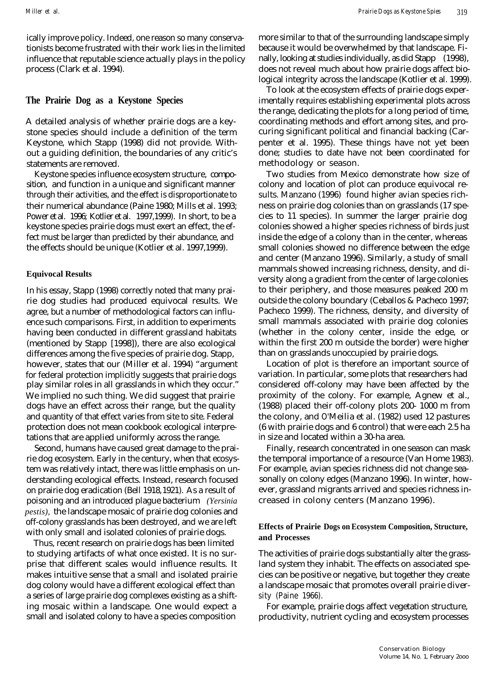ically improve policy. Indeed, one reason so many conservationists become frustrated with their work lies in the limited influence that reputable science actually plays in the policy process (Clark et al. 1994).

### **The Prairie Dog as a Keystone Species**

A detailed analysis of whether prairie dogs are a keystone species should include a definition of the term Keystone, which Stapp (1998) did not provide. Without a guiding definition, the boundaries of any critic's statements are removed.

Keystone species influence ecosystem structure, composition, and function in a unique and significant manner through their activities, and the effect is disproportionate to their numerical abundance (Paine 1980; Mills et al. 1993; Power et al. 1996; Kotlier et al. 1997,1999). In short, to be a keystone species prairie dogs must exert an effect, the effect must be larger than predicted by their abundance, and the effects should be unique (Kotlier et al. 1997,1999).

#### **Equivocal Results**

In his essay, Stapp (1998) correctly noted that many prairie dog studies had produced equivocal results. We agree, but a number of methodological factors can influence such comparisons. First, in addition to experiments having been conducted in different grassland habitats (mentioned by Stapp [1998]), there are also ecological differences among the five species of prairie dog. Stapp, however, states that our (Miller et al. 1994) "argument for federal protection implicitly suggests that prairie dogs play similar roles in all grasslands in which they occur." We implied no such thing. We did suggest that prairie dogs have an effect across their range, but the quality and quantity of that effect varies from site to site. Federal protection does not mean cookbook ecological interpretations that are applied uniformly across the range.

Second, humans have caused great damage to the prairie dog ecosystem. Early in the century, when that ecosystem was relatively intact, there was little emphasis on understanding ecological effects. Instead, research focused on prairie dog eradication (Bell 1918,1921). As a result of poisoning and an introduced plague bacterium *(Yersinia pestis),* the landscape mosaic of prairie dog colonies and off-colony grasslands has been destroyed, and we are left with only small and isolated colonies of prairie dogs.

Thus, recent research on prairie dogs has been limited to studying artifacts of what once existed. It is no surprise that different scales would influence results. It makes intuitive sense that a small and isolated prairie dog colony would have a different ecological effect than a series of large prairie dog complexes existing as a shifting mosaic within a landscape. One would expect a small and isolated colony to have a species composition

more similar to that of the surrounding landscape simply because it would be overwhelmed by that landscape. Finally, looking at studies individually, as did Stapp (1998), does not reveal much about how prairie dogs affect biological integrity across the landscape (Kotlier et al. 1999).

To look at the ecosystem effects of prairie dogs experimentally requires establishing experimental plots across the range, dedicating the plots for a long period of time, coordinating methods and effort among sites, and procuring significant political and financial backing (Carpenter et al. 1995). These things have not yet been done; studies to date have not been coordinated for methodology or season.

Two studies from Mexico demonstrate how size of colony and location of plot can produce equivocal results. Manzano (1996) found higher avian species richness on prairie dog colonies than on grasslands (17 species to 11 species). In summer the larger prairie dog colonies showed a higher species richness of birds just inside the edge of a colony than in the center, whereas small colonies showed no difference between the edge and center (Manzano 1996). Similarly, a study of small mammals showed increasing richness, density, and diversity along a gradient from the center of large colonies to their periphery, and those measures peaked 200 m outside the colony boundary (Ceballos & Pacheco 1997; Pacheco 1999). The richness, density, and diversity of small mammals associated with prairie dog colonies (whether in the colony center, inside the edge, or within the first 200 m outside the border) were higher than on grasslands unoccupied by prairie dogs.

Location of plot is therefore an important source of variation. In particular, some plots that researchers had considered off-colony may have been affected by the proximity of the colony. For example, Agnew et al., (1988) placed their off-colony plots 200- 1000 m from the colony, and O'Meilia et al. (1982) used 12 pastures (6 with prairie dogs and 6 control) that were each 2.5 ha in size and located within a 30-ha area.

Finally, research concentrated in one season can mask the temporal importance of a resource (Van Home 1983). For example, avian species richness did not change seasonally on colony edges (Manzano 1996). In winter, however, grassland migrants arrived and species richness increased in colony centers (Manzano 1996).

### **Effects of Prairie Dogs on Ecosystem Composition, Structure, and Processes**

The activities of prairie dogs substantially alter the grassland system they inhabit. The effects on associated species can be positive or negative, but together they create a landscape mosaic that promotes overall prairie diversity (Paine 1966).

For example, prairie dogs affect vegetation structure, productivity, nutrient cycling and ecosystem processes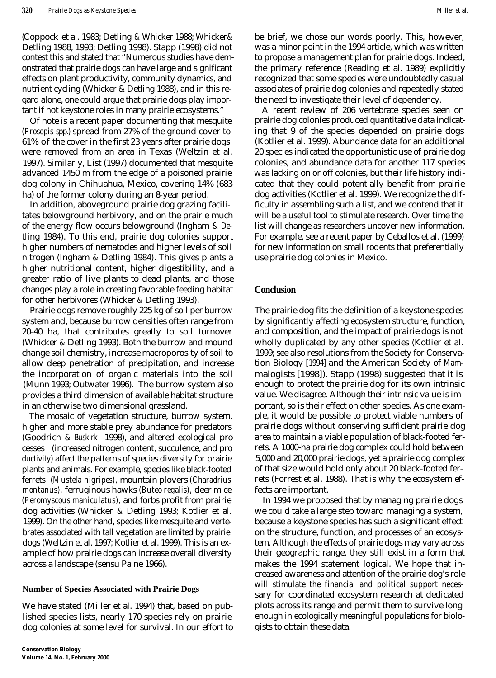(Coppock et al. 1983; Detling & Whicker 1988; Whicker& Detling 1988, 1993; Detling 1998). Stapp (1998) did not contest this and stated that "Numerous studies have demonstrated that prairie dogs can have large and significant effects on plant productivity, community dynamics, and nutrient cycling (Whicker & Detling 1988), and in this regard alone, one could argue that prairie dogs play important if not keystone roles in many prairie ecosystems."

Of note is a recent paper documenting that mesquite *(Prosopis* spp.) spread from 27% of the ground cover to 61% of the cover in the first 23 years after prairie dogs were removed from an area in Texas (Weltzin et al. 1997). Similarly, List (1997) documented that mesquite advanced 1450 m from the edge of a poisoned prairie dog colony in Chihuahua, Mexico, covering 14% (683 ha) of the former colony during an 8-year period.

In addition, aboveground prairie dog grazing facilitates belowground herbivory, and on the prairie much of the energy flow occurs belowground (Ingham & Detling 1984). To this end, prairie dog colonies support higher numbers of nematodes and higher levels of soil nitrogen (Ingham & Detling 1984). This gives plants a higher nutritional content, higher digestibility, and a greater ratio of live plants to dead plants, and those changes play a role in creating favorable feeding habitat for other herbivores (Whicker & Detling 1993).

Prairie dogs remove roughly 225 kg of soil per burrow system and, because burrow densities often range from 20-40 ha, that contributes greatly to soil turnover (Whicker & Detling 1993). Both the burrow and mound change soil chemistry, increase macroporosity of soil to allow deep penetration of precipitation, and increase the incorporation of organic materials into the soil (Munn 1993; Outwater 1996). The burrow system also provides a third dimension of available habitat structure in an otherwise two dimensional grassland.

The mosaic of vegetation structure, burrow system, higher and more stable prey abundance for predators (Goodrich & Buskirk 1998), and altered ecological pro cesses (increased nitrogen content, succulence, and pro ductivity) affect the patterns of species diversity for prairie plants and animals. For example, species like black-footed ferrets *(Mustela nigripes),* mountain plovers *(Charadrius montanus),* ferruginous hawks *(Buteo regalis),* deer mice *(Peromyscous maniculatus),* and forbs profit from prairie dog activities (Whicker & Detling 1993; Kotlier et al. 1999). On the other hand, species like mesquite and vertebrates associated with tall vegetation are limited by prairie dogs (Weltzin et al. 1997; Kotlier et al. 1999). This is an example of how prairie dogs can increase overall diversity across a landscape (sensu Paine 1966).

#### **Number of Species Associated with Prairie Dogs**

We have stated (Miller et al. 1994) that, based on published species lists, nearly 170 species rely on prairie dog colonies at some level for survival. In our effort to be brief, we chose our words poorly. This, however, was a minor point in the 1994 article, which was written to propose a management plan for prairie dogs. Indeed, the primary reference (Reading et al. 1989) explicitly recognized that some species were undoubtedly casual associates of prairie dog colonies and repeatedly stated the need to investigate their level of dependency.

A recent review of 206 vertebrate species seen on prairie dog colonies produced quantitative data indicating that 9 of the species depended on prairie dogs (Kotlier et al. 1999). Abundance data for an additional 20 species indicated the opportunistic use of prairie dog colonies, and abundance data for another 117 species was lacking on or off colonies, but their life history indicated that they could potentially benefit from prairie dog activities (Kotlier et al. 1999). We recognize the difficulty in assembling such a list, and we contend that it will be a useful tool to stimulate research. Over time the list will change as researchers uncover new information. For example, see a recent paper by Ceballos et al. (1999) for new information on small rodents that preferentially use prairie dog colonies in Mexico.

### **Conclusion**

The prairie dog fits the definition of a keystone species by significantly affecting ecosystem structure, function, and composition, and the impact of prairie dogs is not wholly duplicated by any other species (Kotlier et al. 1999; see also resolutions from the Society for Conservation Biology [1994] and the American Society of Mammalogists [1998]). Stapp (1998) suggested that it is enough to protect the prairie dog for its own intrinsic value. We disagree. Although their intrinsic value is important, so is their effect on other species. As one example, it would be possible to protect viable numbers of prairie dogs without conserving sufficient prairie dog area to maintain a viable population of black-footed ferrets. A 1000-ha prairie dog complex could hold between 5,000 and 20,000 prairie dogs, yet a prairie dog complex of that size would hold only about 20 black-footed ferrets (Forrest et al. 1988). That is why the ecosystem effects are important.

In 1994 we proposed that by managing prairie dogs we could take a large step toward managing a system, because a keystone species has such a significant effect on the structure, function, and processes of an ecosystem. Although the effects of prairie dogs may vary across their geographic range, they still exist in a form that makes the 1994 statement logical. We hope that increased awareness and attention of the prairie dog's role will stimulate the financial and political support necessary for coordinated ecosystem research at dedicated plots across its range and permit them to survive long enough in ecologically meaningful populations for biologists to obtain these data.